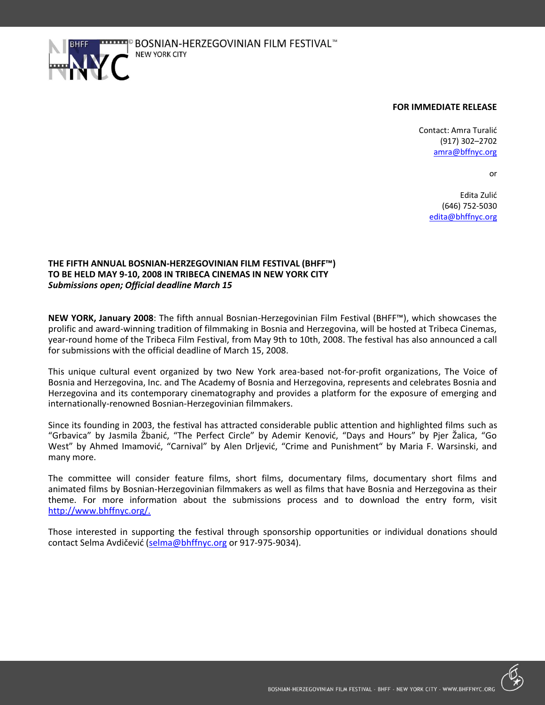

## **FOR IMMEDIATE RELEASE**

Contact: Amra Turalić (917) 302–2702 [amra@bffnyc.org](mailto:amra@bffnyc.org)

or

Edita Zulić (646) 752-5030 [edita@bhffnyc.org](mailto:edita@bhffnyc.org)

# **THE FIFTH ANNUAL BOSNIAN-HERZEGOVINIAN FILM FESTIVAL (BHFF™) TO BE HELD MAY 9-10, 2008 IN TRIBECA CINEMAS IN NEW YORK CITY** *Submissions open; Official deadline March 15*

**NEW YORK, January 2008**: The fifth annual Bosnian-Herzegovinian Film Festival (BHFF™), which showcases the prolific and award-winning tradition of filmmaking in Bosnia and Herzegovina, will be hosted at Tribeca Cinemas, year-round home of the Tribeca Film Festival, from May 9th to 10th, 2008. The festival has also announced a call for submissions with the official deadline of March 15, 2008.

This unique cultural event organized by two New York area-based not-for-profit organizations, The Voice of Bosnia and Herzegovina, Inc. and The Academy of Bosnia and Herzegovina, represents and celebrates Bosnia and Herzegovina and its contemporary cinematography and provides a platform for the exposure of emerging and internationally-renowned Bosnian-Herzegovinian filmmakers.

Since its founding in 2003, the festival has attracted considerable public attention and highlighted films such as "Grbavica" by Jasmila Žbanić, "The Perfect Circle" by Ademir Kenović, "Days and Hours" by Pjer Žalica, "Go West" by Ahmed Imamović, "Carnival" by Alen Drliević, "Crime and Punishment" by Maria F. Warsinski, and many more.

The committee will consider feature films, short films, documentary films, documentary short films and animated films by Bosnian-Herzegovinian filmmakers as well as films that have Bosnia and Herzegovina as their theme. For more information about the submissions process and to download the entry form, visit http://www.bhffnyc.org/.

Those interested in supporting the festival through sponsorship opportunities or individual donations should contact Selma Avdičević ([selma@bhffnyc.org](mailto:selma@bhffnyc.org) or 917-975-9034).